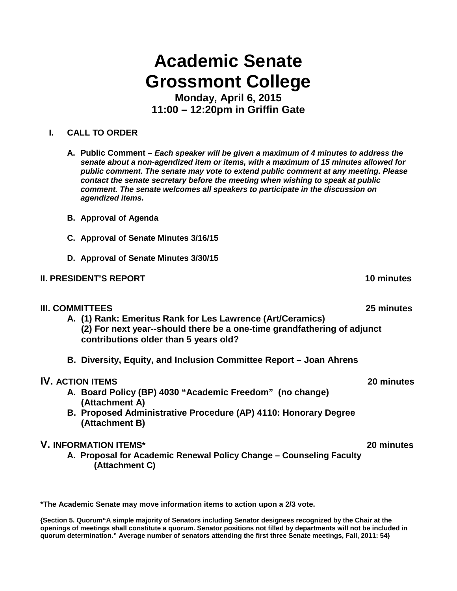# **Academic Senate Grossmont College**

**Monday, April 6, 2015 11:00 – 12:20pm in Griffin Gate**

## **I. CALL TO ORDER**

- **A. Public Comment –** *Each speaker will be given a maximum of 4 minutes to address the senate about a non-agendized item or items, with a maximum of 15 minutes allowed for public comment. The senate may vote to extend public comment at any meeting. Please contact the senate secretary before the meeting when wishing to speak at public comment. The senate welcomes all speakers to participate in the discussion on agendized items.*
- **B. Approval of Agenda**
- **C. Approval of Senate Minutes 3/16/15**
- **D. Approval of Senate Minutes 3/30/15**

## **II. PRESIDENT'S REPORT 10 minutes**

### **III. COMMITTEES 25 minutes**

- **A. (1) Rank: Emeritus Rank for Les Lawrence (Art/Ceramics) (2) For next year--should there be a one-time grandfathering of adjunct contributions older than 5 years old?**
- **B. Diversity, Equity, and Inclusion Committee Report – Joan Ahrens**

## **IV. ACTION ITEMS 20 minutes**

- **A. Board Policy (BP) 4030 "Academic Freedom" (no change) (Attachment A)**
- **B. Proposed Administrative Procedure (AP) 4110: Honorary Degree (Attachment B)**

## **V. INFORMATION ITEMS\* 20 minutes**

**A. Proposal for Academic Renewal Policy Change – Counseling Faculty (Attachment C)**

**\*The Academic Senate may move information items to action upon a 2/3 vote.**

**{Section 5. Quorum"A simple majority of Senators including Senator designees recognized by the Chair at the openings of meetings shall constitute a quorum. Senator positions not filled by departments will not be included in quorum determination." Average number of senators attending the first three Senate meetings, Fall, 2011: 54}**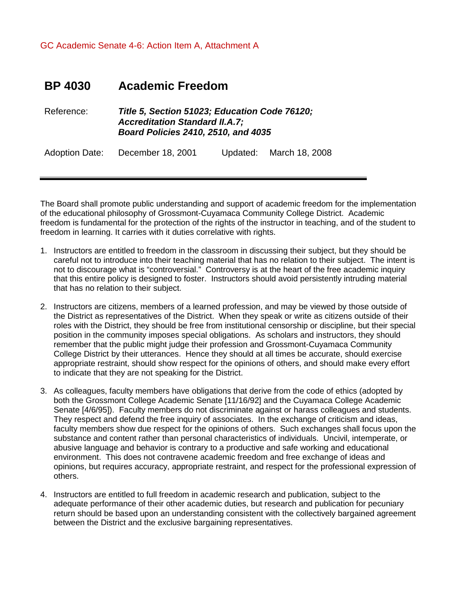GC Academic Senate 4-6: Action Item A, Attachment A

## **BP 4030 Academic Freedom**

Reference: *Title 5, Section 51023; Education Code 76120; Accreditation Standard II.A.7; Board Policies 2410, 2510, and 4035*

Adoption Date: December 18, 2001 Updated: March 18, 2008

The Board shall promote public understanding and support of academic freedom for the implementation of the educational philosophy of Grossmont-Cuyamaca Community College District. Academic freedom is fundamental for the protection of the rights of the instructor in teaching, and of the student to freedom in learning. It carries with it duties correlative with rights.

- 1. Instructors are entitled to freedom in the classroom in discussing their subject, but they should be careful not to introduce into their teaching material that has no relation to their subject. The intent is not to discourage what is "controversial." Controversy is at the heart of the free academic inquiry that this entire policy is designed to foster. Instructors should avoid persistently intruding material that has no relation to their subject.
- 2. Instructors are citizens, members of a learned profession, and may be viewed by those outside of the District as representatives of the District. When they speak or write as citizens outside of their roles with the District, they should be free from institutional censorship or discipline, but their special position in the community imposes special obligations. As scholars and instructors, they should remember that the public might judge their profession and Grossmont-Cuyamaca Community College District by their utterances. Hence they should at all times be accurate, should exercise appropriate restraint, should show respect for the opinions of others, and should make every effort to indicate that they are not speaking for the District.
- 3. As colleagues, faculty members have obligations that derive from the code of ethics (adopted by both the Grossmont College Academic Senate [11/16/92] and the Cuyamaca College Academic Senate [4/6/95]). Faculty members do not discriminate against or harass colleagues and students. They respect and defend the free inquiry of associates. In the exchange of criticism and ideas, faculty members show due respect for the opinions of others. Such exchanges shall focus upon the substance and content rather than personal characteristics of individuals. Uncivil, intemperate, or abusive language and behavior is contrary to a productive and safe working and educational environment. This does not contravene academic freedom and free exchange of ideas and opinions, but requires accuracy, appropriate restraint, and respect for the professional expression of others.
- 4. Instructors are entitled to full freedom in academic research and publication, subject to the adequate performance of their other academic duties, but research and publication for pecuniary return should be based upon an understanding consistent with the collectively bargained agreement between the District and the exclusive bargaining representatives.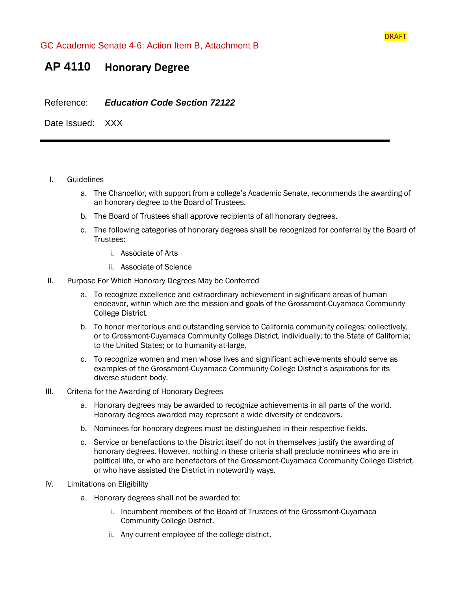

## **AP 4110 Honorary Degree**

Reference: *Education Code Section 72122* 

Date Issued: XXX

- I. Guidelines
	- a. The Chancellor, with support from a college's Academic Senate, recommends the awarding of an honorary degree to the Board of Trustees.
	- b. The Board of Trustees shall approve recipients of all honorary degrees.
	- c. The following categories of honorary degrees shall be recognized for conferral by the Board of Trustees:
		- i. Associate of Arts
		- ii. Associate of Science
- II. Purpose For Which Honorary Degrees May be Conferred
	- a. To recognize excellence and extraordinary achievement in significant areas of human endeavor, within which are the mission and goals of the Grossmont-Cuyamaca Community College District.
	- b. To honor meritorious and outstanding service to California community colleges; collectively, or to Grossmont-Cuyamaca Community College District, individually; to the State of California; to the United States; or to humanity-at-large.
	- c. To recognize women and men whose lives and significant achievements should serve as examples of the Grossmont-Cuyamaca Community College District's aspirations for its diverse student body.
- III. Criteria for the Awarding of Honorary Degrees
	- a. Honorary degrees may be awarded to recognize achievements in all parts of the world. Honorary degrees awarded may represent a wide diversity of endeavors.
	- b. Nominees for honorary degrees must be distinguished in their respective fields.
	- c. Service or benefactions to the District itself do not in themselves justify the awarding of honorary degrees. However, nothing in these criteria shall preclude nominees who are in political life, or who are benefactors of the Grossmont-Cuyamaca Community College District, or who have assisted the District in noteworthy ways.
- IV. Limitations on Eligibility
	- a. Honorary degrees shall not be awarded to:
		- i. Incumbent members of the Board of Trustees of the Grossmont-Cuyamaca Community College District.
		- ii. Any current employee of the college district.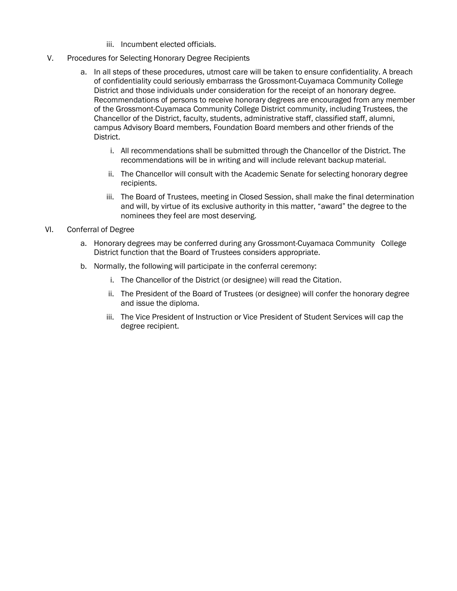- iii. Incumbent elected officials.
- V. Procedures for Selecting Honorary Degree Recipients
	- a. In all steps of these procedures, utmost care will be taken to ensure confidentiality. A breach of confidentiality could seriously embarrass the Grossmont-Cuyamaca Community College District and those individuals under consideration for the receipt of an honorary degree. Recommendations of persons to receive honorary degrees are encouraged from any member of the Grossmont-Cuyamaca Community College District community, including Trustees, the Chancellor of the District, faculty, students, administrative staff, classified staff, alumni, campus Advisory Board members, Foundation Board members and other friends of the District.
		- i. All recommendations shall be submitted through the Chancellor of the District. The recommendations will be in writing and will include relevant backup material.
		- ii. The Chancellor will consult with the Academic Senate for selecting honorary degree recipients.
		- iii. The Board of Trustees, meeting in Closed Session, shall make the final determination and will, by virtue of its exclusive authority in this matter, "award" the degree to the nominees they feel are most deserving.
- VI. Conferral of Degree
	- a. Honorary degrees may be conferred during any Grossmont-Cuyamaca Community College District function that the Board of Trustees considers appropriate.
	- b. Normally, the following will participate in the conferral ceremony:
		- i. The Chancellor of the District (or designee) will read the Citation.
		- ii. The President of the Board of Trustees (or designee) will confer the honorary degree and issue the diploma.
		- iii. The Vice President of Instruction or Vice President of Student Services will cap the degree recipient.